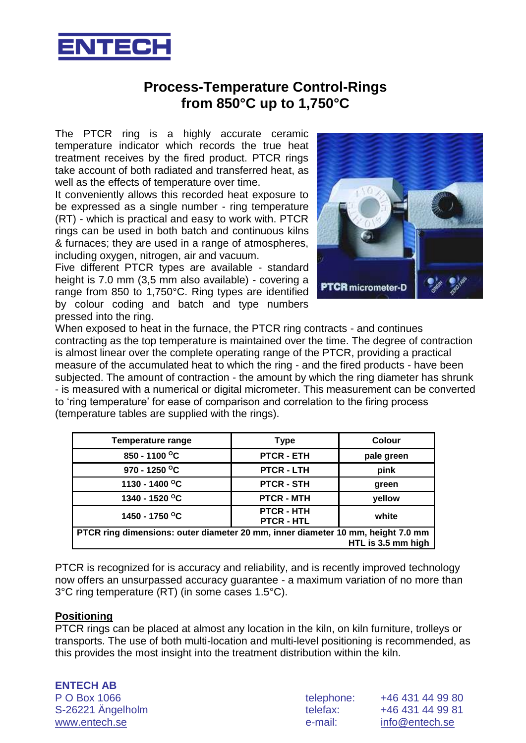

# **Process-Temperature Control-Rings from 850°C up to 1,750°C**

The PTCR ring is a highly accurate ceramic temperature indicator which records the true heat treatment receives by the fired product. PTCR rings take account of both radiated and transferred heat, as well as the effects of temperature over time.

It conveniently allows this recorded heat exposure to be expressed as a single number - ring temperature (RT) - which is practical and easy to work with. PTCR rings can be used in both batch and continuous kilns & furnaces; they are used in a range of atmospheres, including oxygen, nitrogen, air and vacuum.

Five different PTCR types are available - standard height is 7.0 mm (3,5 mm also available) - covering a range from 850 to 1,750°C. Ring types are identified by colour coding and batch and type numbers pressed into the ring.



When exposed to heat in the furnace, the PTCR ring contracts - and continues contracting as the top temperature is maintained over the time. The degree of contraction is almost linear over the complete operating range of the PTCR, providing a practical measure of the accumulated heat to which the ring - and the fired products - have been subjected. The amount of contraction - the amount by which the ring diameter has shrunk - is measured with a numerical or digital micrometer. This measurement can be converted to 'ring temperature' for ease of comparison and correlation to the firing process (temperature tables are supplied with the rings).

| <b>Temperature range</b>                                                        | <b>Type</b>                          | <b>Colour</b>      |
|---------------------------------------------------------------------------------|--------------------------------------|--------------------|
| 850 - 1100 °C                                                                   | <b>PTCR - ETH</b>                    | pale green         |
| 970 - 1250 °C                                                                   | <b>PTCR - LTH</b>                    | pink               |
| 1130 - 1400 °C                                                                  | <b>PTCR - STH</b>                    | green              |
| 1340 - 1520 °C                                                                  | <b>PTCR - MTH</b>                    | yellow             |
| 1450 - 1750 °C                                                                  | <b>PTCR - HTH</b><br><b>PTCR-HTL</b> | white              |
| PTCR ring dimensions: outer diameter 20 mm, inner diameter 10 mm, height 7.0 mm |                                      |                    |
|                                                                                 |                                      | HTL is 3.5 mm high |

PTCR is recognized for is accuracy and reliability, and is recently improved technology now offers an unsurpassed accuracy guarantee - a maximum variation of no more than 3°C ring temperature (RT) (in some cases 1.5°C).

## **Positioning**

PTCR rings can be placed at almost any location in the kiln, on kiln furniture, trolleys or transports. The use of both multi-location and multi-level positioning is recommended, as this provides the most insight into the treatment distribution within the kiln.

| <b>ENTECH AB</b>  |
|-------------------|
| P O Box 1066      |
| S-26221 Ängelholm |
| www.entech.se     |

| P O Box 1066      | telephone: | +46 431 44 99 80 |
|-------------------|------------|------------------|
| S-26221 Ängelholm | telefax:   | +46 431 44 99 81 |
| www.entech.se     | e-mail:    | info@entech.se   |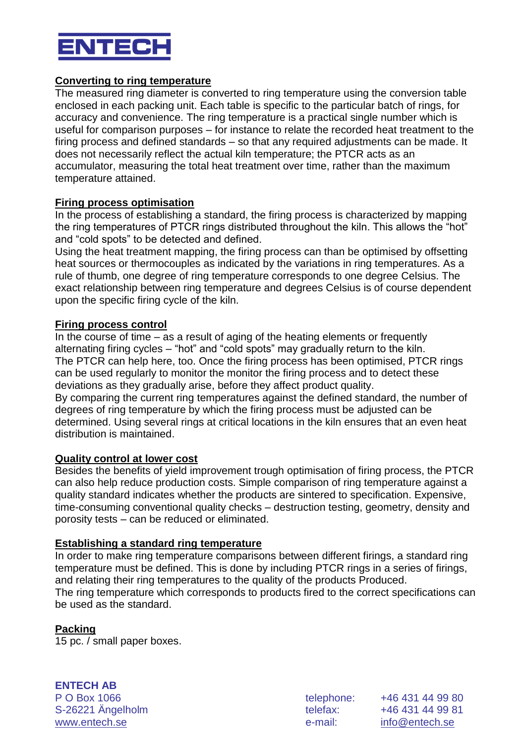

## **Converting to ring temperature**

The measured ring diameter is converted to ring temperature using the conversion table enclosed in each packing unit. Each table is specific to the particular batch of rings, for accuracy and convenience. The ring temperature is a practical single number which is useful for comparison purposes – for instance to relate the recorded heat treatment to the firing process and defined standards – so that any required adjustments can be made. It does not necessarily reflect the actual kiln temperature; the PTCR acts as an accumulator, measuring the total heat treatment over time, rather than the maximum temperature attained.

## **Firing process optimisation**

In the process of establishing a standard, the firing process is characterized by mapping the ring temperatures of PTCR rings distributed throughout the kiln. This allows the "hot" and "cold spots" to be detected and defined.

Using the heat treatment mapping, the firing process can than be optimised by offsetting heat sources or thermocouples as indicated by the variations in ring temperatures. As a rule of thumb, one degree of ring temperature corresponds to one degree Celsius. The exact relationship between ring temperature and degrees Celsius is of course dependent upon the specific firing cycle of the kiln.

#### **Firing process control**

In the course of time – as a result of aging of the heating elements or frequently alternating firing cycles – "hot" and "cold spots" may gradually return to the kiln. The PTCR can help here, too. Once the firing process has been optimised, PTCR rings can be used regularly to monitor the monitor the firing process and to detect these deviations as they gradually arise, before they affect product quality. By comparing the current ring temperatures against the defined standard, the number of degrees of ring temperature by which the firing process must be adjusted can be determined. Using several rings at critical locations in the kiln ensures that an even heat distribution is maintained.

#### **Quality control at lower cost**

Besides the benefits of yield improvement trough optimisation of firing process, the PTCR can also help reduce production costs. Simple comparison of ring temperature against a quality standard indicates whether the products are sintered to specification. Expensive, time-consuming conventional quality checks – destruction testing, geometry, density and porosity tests – can be reduced or eliminated.

## **Establishing a standard ring temperature**

In order to make ring temperature comparisons between different firings, a standard ring temperature must be defined. This is done by including PTCR rings in a series of firings, and relating their ring temperatures to the quality of the products Produced. The ring temperature which corresponds to products fired to the correct specifications can be used as the standard.

## **Packing**

15 pc. / small paper boxes.

**ENTECH AB** P O Box 1066 telephone: +46 431 44 99 80 S-26221 Ängelholm telefax: +46 431 44 99 81

www.entech.se e-mail: info@entech.se e-mail: info@entech.se